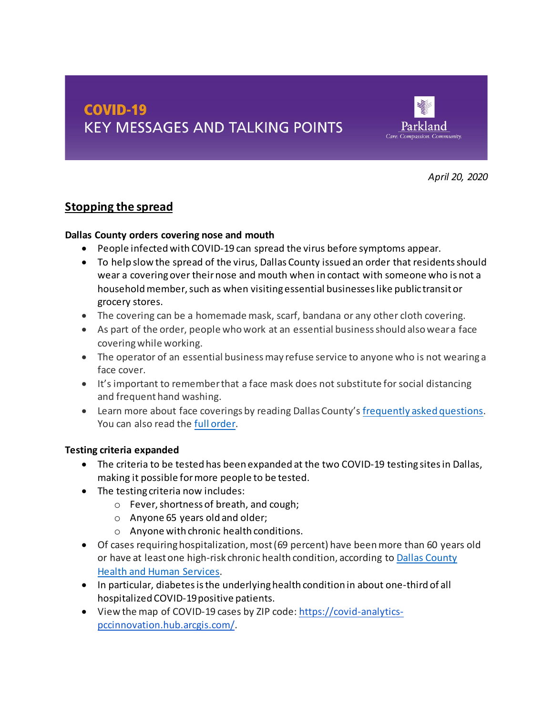# **COVID-19 KEY MESSAGES AND TALKING POINTS**



*April 20, 2020*

### **Stopping the spread**

#### **Dallas County orders covering nose and mouth**

- People infectedwith COVID-19 can spread the virus before symptoms appear.
- To help slow the spread of the virus, Dallas County issued an order that residentsshould wear a coveringover theirnose and mouth when in contact with someone who is not a household member, such as when visiting essential businesses like public transit or grocery stores.
- The covering can be a homemade mask, scarf, bandana or any other cloth covering.
- As part of the order, people whowork at an essential businessshould alsoweara face coveringwhile working.
- The operator of an essential business may refuse service to anyone who is not wearing a face cover.
- It's important to remember that a face mask does not substitute for social distancing and frequent hand washing.
- Learn more about face coverings by reading Dallas County'[s frequently asked questions.](https://www.dallascounty.org/Assets/uploads/docs/covid-19/orders-media/041520-FAQ-ClothCoverings-ENGLISH.pdf) You can also read the [full order.](https://www.dallascounty.org/covid-19/judge-orders.php)

### **Testing criteria expanded**

- The criteria to be tested has been expanded at the two COVID-19 testing sites in Dallas, making it possible for more people to be tested.
- The testing criteria now includes:
	- o Fever, shortness of breath, and cough;
	- o Anyone 65 years old and older;
	- o Anyone with chronic health conditions.
- Of cases requiring hospitalization, most (69 percent) have been more than 60 years old or have at leastone high-risk chronic health condition, according to Dallas [County](https://www.dallascounty.org/Assets/uploads/docs/covid-19/hhs-summary/COVID-19-DCHHS-Summary_041420.pdf) Health and Human [Services.](https://www.dallascounty.org/Assets/uploads/docs/covid-19/hhs-summary/COVID-19-DCHHS-Summary_041420.pdf)
- In particular, diabetes is the underlying health condition in about one-third of all hospitalized COVID-19 positive patients.
- View the map of COVID-19 cases by ZIP code: [https://covid-analytics](https://covid-analytics-pccinnovation.hub.arcgis.com/)[pccinnovation.hub.arcgis.com/.](https://covid-analytics-pccinnovation.hub.arcgis.com/)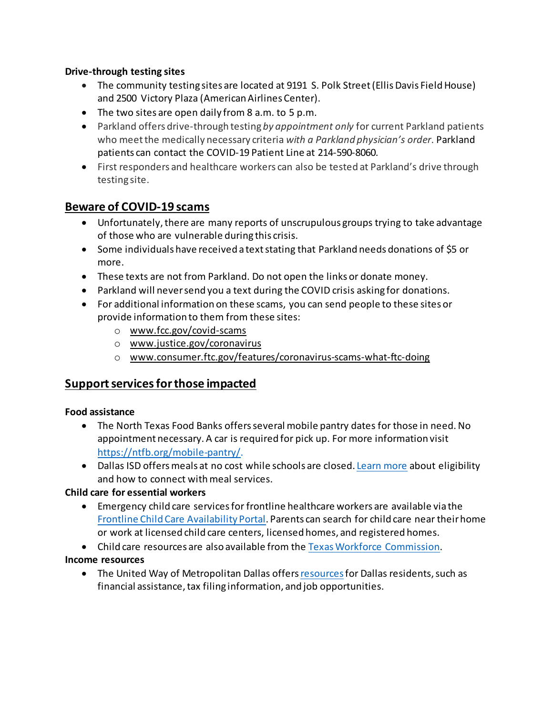#### **Drive-through testing sites**

- The community testing sites are located at 9191 S. Polk Street (Ellis Davis Field House) and 2500 Victory Plaza (American Airlines Center).
- The two sites are open daily from 8 a.m. to 5 p.m.
- Parkland offers drive-through testing *by appointment only* for current Parkland patients who meet the medically necessary criteria *with a Parkland physician's order*. Parkland patients can contact the COVID-19 Patient Line at 214-590-8060.
- First responders and healthcare workers can also be tested at Parkland's drive through testing site.

### **Beware of COVID-19 scams**

- Unfortunately, there are many reports of unscrupulous groups trying to take advantage of those who are vulnerable during this crisis.
- Some individuals have received a textstating that Parkland needs donations of \$5 or more.
- These texts are not from Parkland. Do not open the links or donate money.
- Parkland will neversend you a text during the COVID crisis asking for donations.
- For additional information on these scams, you can send people to these sites or provide information to them from these sites:
	- o www.fcc.gov/covid-scams
	- o www.justice.gov/coronavirus
	- o www.consumer.ftc.gov/features/coronavirus-scams-what-ftc-doing

### **Supportservicesforthose impacted**

### **Food assistance**

- The North Texas Food Banks offers several mobile pantry dates for those in need. No appointment necessary. A car is required for pick up. For more information visit <https://ntfb.org/mobile-pantry/>.
- Dallas ISD offers meals at no cost while schools are closed[. Learn more](https://www.dallasisd.org/Page/62476) about eligibility and how to connect with meal services.

### **Child care for essential workers**

- Emergency child care servicesfor frontline healthcare workers are available via the Frontline Child Care [Availability](https://frontlinechildcare.texas.gov/) Portal. Parents can search for child care near theirhome or work at licensed child care centers, licensed homes, and registered homes.
- Child care resources are also available from the Texas Workforce Commission.

### **Income resources**

• The United Way of Metropolitan Dallas offers resources for Dallas residents, such as financial assistance, tax filing information, and job opportunities.